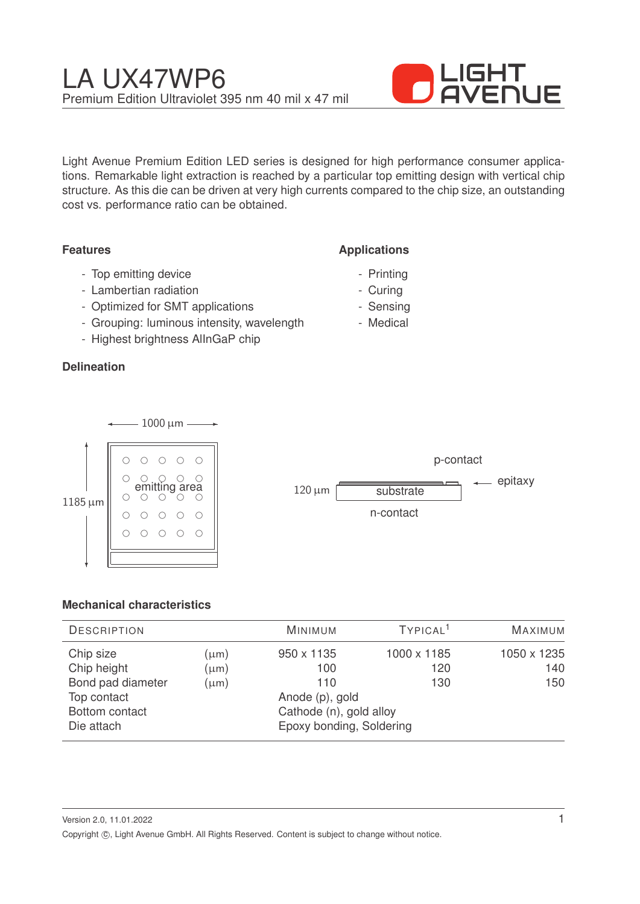

Light Avenue Premium Edition LED series is designed for high performance consumer applications. Remarkable light extraction is reached by a particular top emitting design with vertical chip structure. As this die can be driven at very high currents compared to the chip size, an outstanding cost vs. performance ratio can be obtained.

## **Features**

**Applications**

- Top emitting device
- Lambertian radiation
- Optimized for SMT applications
- Grouping: luminous intensity, wavelength
- Highest brightness AlInGaP chip

## **Delineation**

- Printing
- Curing
- Sensing
- Medical





# **Mechanical characteristics**

| <b>DESCRIPTION</b>                                           |                                     | <b>MINIMUM</b>                                      | TYPICAL <sup>1</sup>      | MAXIMUM                   |
|--------------------------------------------------------------|-------------------------------------|-----------------------------------------------------|---------------------------|---------------------------|
| Chip size<br>Chip height<br>Bond pad diameter<br>Top contact | $(\mu m)$<br>$(\mu m)$<br>$(\mu m)$ | 950 x 1135<br>100<br>110<br>Anode (p), gold         | 1000 x 1185<br>120<br>130 | 1050 x 1235<br>140<br>150 |
| Bottom contact<br>Die attach                                 |                                     | Cathode (n), gold alloy<br>Epoxy bonding, Soldering |                           |                           |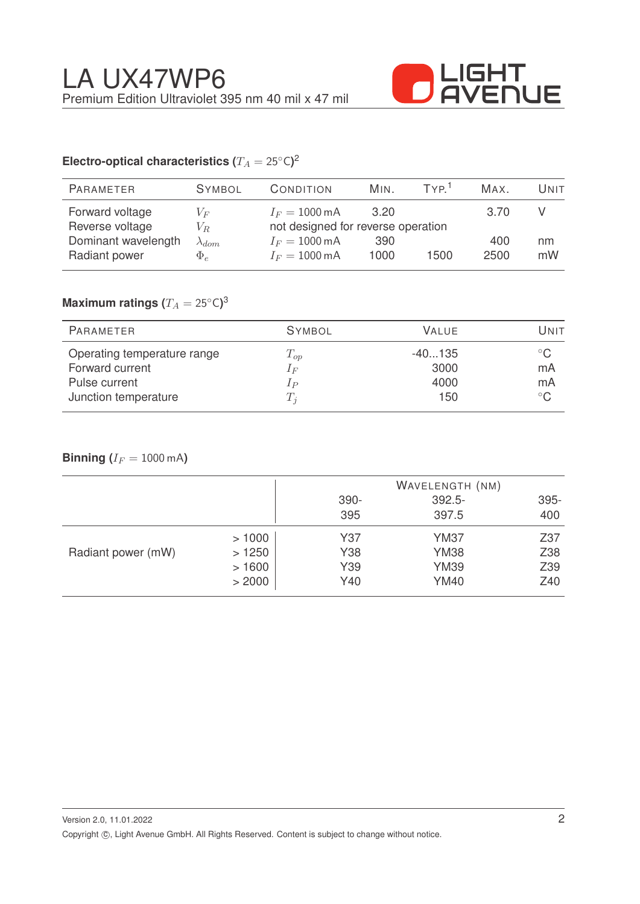

# Electro-optical characteristics ( $T_A = 25^{\circ} \text{C}$ )<sup>2</sup>

| <b>PARAMETER</b>                       | <b>SYMBOL</b>                     | CONDITION                                                      | Min. | TYP <sup>1</sup> | MAX. | Unit |
|----------------------------------------|-----------------------------------|----------------------------------------------------------------|------|------------------|------|------|
| Forward voltage                        | $V_{E}$                           | $I_F = 1000 \,\text{mA}$                                       | 3.20 |                  | 3.70 |      |
| Reverse voltage<br>Dominant wavelength | V <sub>R</sub><br>$\lambda_{dom}$ | not designed for reverse operation<br>$I_F = 1000 \,\text{mA}$ | 390  |                  | 400  | nm   |
| Radiant power                          | $\Phi_e$                          | $I_F = 1000 \,\text{mA}$                                       | 1000 | 1500             | 2500 | mW   |

# $\mathsf{Maximum}$  ratings  $(T_A = 25^{\circ} \mathsf{C})^3$

| PARAMETER                                      | <b>SYMBOL</b>     | VALUE.           | Unit               |
|------------------------------------------------|-------------------|------------------|--------------------|
| Operating temperature range<br>Forward current | $T_{op}$<br>$1_F$ | $-40135$<br>3000 | $^{\circ}$ C<br>mA |
| Pulse current                                  | $_{lp}$           | 4000             | mA                 |
| Junction temperature                           | $T_i$             | 150              | $^{\circ}$ C       |

## **Binning**  $(I_F = 1000 \text{ mA})$

|                    |        |      | WAVELENGTH (NM) |      |
|--------------------|--------|------|-----------------|------|
|                    |        | 390- | $392.5 -$       | 395- |
|                    |        | 395  | 397.5           | 400  |
|                    | >1000  | Y37  | <b>YM37</b>     | Z37  |
| Radiant power (mW) | >1250  | Y38  | <b>YM38</b>     | Z38  |
|                    | >1600  | Y39  | <b>YM39</b>     | Z39  |
|                    | > 2000 | Y40  | <b>YM40</b>     | Z40  |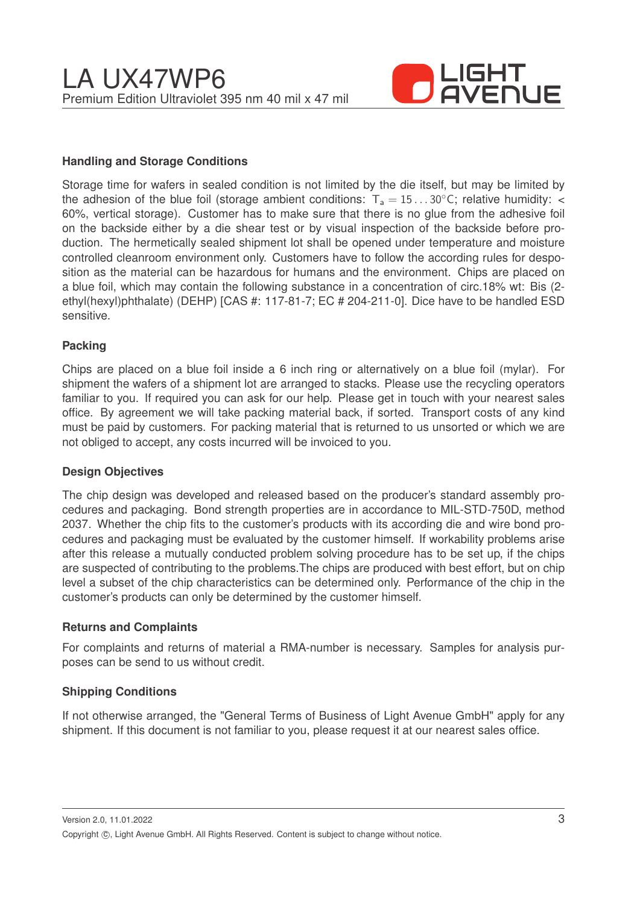

#### **Handling and Storage Conditions**

Storage time for wafers in sealed condition is not limited by the die itself, but may be limited by the adhesion of the blue foil (storage ambient conditions:  $T_a = 15...30^{\circ}$ C; relative humidity: < 60%, vertical storage). Customer has to make sure that there is no glue from the adhesive foil on the backside either by a die shear test or by visual inspection of the backside before production. The hermetically sealed shipment lot shall be opened under temperature and moisture controlled cleanroom environment only. Customers have to follow the according rules for desposition as the material can be hazardous for humans and the environment. Chips are placed on a blue foil, which may contain the following substance in a concentration of circ.18% wt: Bis (2 ethyl(hexyl)phthalate) (DEHP) [CAS #: 117-81-7; EC # 204-211-0]. Dice have to be handled ESD sensitive.

#### **Packing**

Chips are placed on a blue foil inside a 6 inch ring or alternatively on a blue foil (mylar). For shipment the wafers of a shipment lot are arranged to stacks. Please use the recycling operators familiar to you. If required you can ask for our help. Please get in touch with your nearest sales office. By agreement we will take packing material back, if sorted. Transport costs of any kind must be paid by customers. For packing material that is returned to us unsorted or which we are not obliged to accept, any costs incurred will be invoiced to you.

#### **Design Objectives**

The chip design was developed and released based on the producer's standard assembly procedures and packaging. Bond strength properties are in accordance to MIL-STD-750D, method 2037. Whether the chip fits to the customer's products with its according die and wire bond procedures and packaging must be evaluated by the customer himself. If workability problems arise after this release a mutually conducted problem solving procedure has to be set up, if the chips are suspected of contributing to the problems.The chips are produced with best effort, but on chip level a subset of the chip characteristics can be determined only. Performance of the chip in the customer's products can only be determined by the customer himself.

#### **Returns and Complaints**

For complaints and returns of material a RMA-number is necessary. Samples for analysis purposes can be send to us without credit.

#### **Shipping Conditions**

If not otherwise arranged, the "General Terms of Business of Light Avenue GmbH" apply for any shipment. If this document is not familiar to you, please request it at our nearest sales office.

Version 2.0, 11.01.2022 Copyright ©, Light Avenue GmbH. All Rights Reserved. Content is subject to change without notice.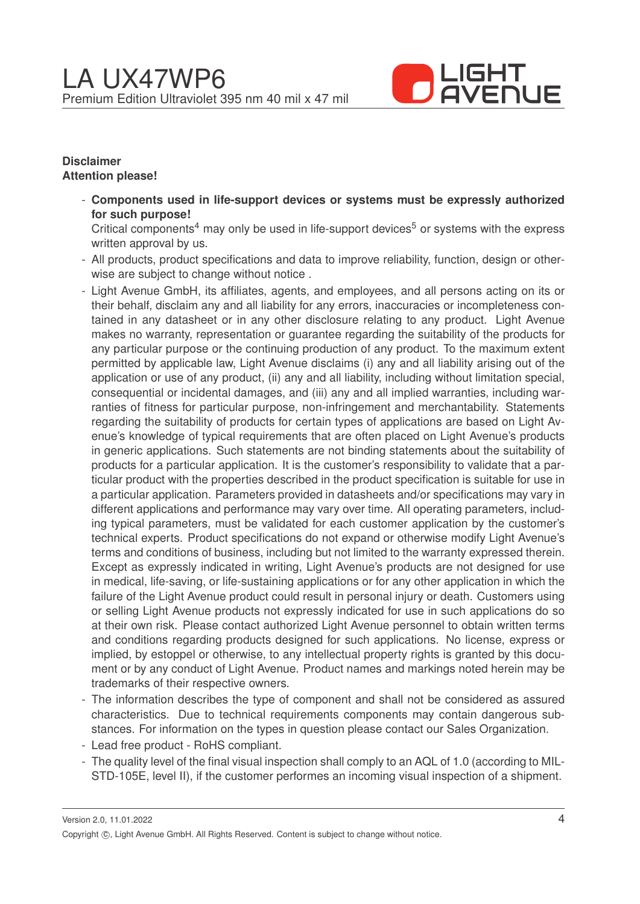

## **Disclaimer Attention please!**

- **Components used in life-support devices or systems must be expressly authorized for such purpose!**

Critical components<sup>4</sup> may only be used in life-support devices<sup>5</sup> or systems with the express written approval by us.

- All products, product specifications and data to improve reliability, function, design or otherwise are subject to change without notice .
- Light Avenue GmbH, its affiliates, agents, and employees, and all persons acting on its or their behalf, disclaim any and all liability for any errors, inaccuracies or incompleteness contained in any datasheet or in any other disclosure relating to any product. Light Avenue makes no warranty, representation or guarantee regarding the suitability of the products for any particular purpose or the continuing production of any product. To the maximum extent permitted by applicable law, Light Avenue disclaims (i) any and all liability arising out of the application or use of any product, (ii) any and all liability, including without limitation special, consequential or incidental damages, and (iii) any and all implied warranties, including warranties of fitness for particular purpose, non-infringement and merchantability. Statements regarding the suitability of products for certain types of applications are based on Light Avenue's knowledge of typical requirements that are often placed on Light Avenue's products in generic applications. Such statements are not binding statements about the suitability of products for a particular application. It is the customer's responsibility to validate that a particular product with the properties described in the product specification is suitable for use in a particular application. Parameters provided in datasheets and/or specifications may vary in different applications and performance may vary over time. All operating parameters, including typical parameters, must be validated for each customer application by the customer's technical experts. Product specifications do not expand or otherwise modify Light Avenue's terms and conditions of business, including but not limited to the warranty expressed therein. Except as expressly indicated in writing, Light Avenue's products are not designed for use in medical, life-saving, or life-sustaining applications or for any other application in which the failure of the Light Avenue product could result in personal injury or death. Customers using or selling Light Avenue products not expressly indicated for use in such applications do so at their own risk. Please contact authorized Light Avenue personnel to obtain written terms and conditions regarding products designed for such applications. No license, express or implied, by estoppel or otherwise, to any intellectual property rights is granted by this document or by any conduct of Light Avenue. Product names and markings noted herein may be trademarks of their respective owners.
- The information describes the type of component and shall not be considered as assured characteristics. Due to technical requirements components may contain dangerous substances. For information on the types in question please contact our Sales Organization.
- Lead free product RoHS compliant.
- The quality level of the final visual inspection shall comply to an AQL of 1.0 (according to MIL-STD-105E, level II), if the customer performes an incoming visual inspection of a shipment.